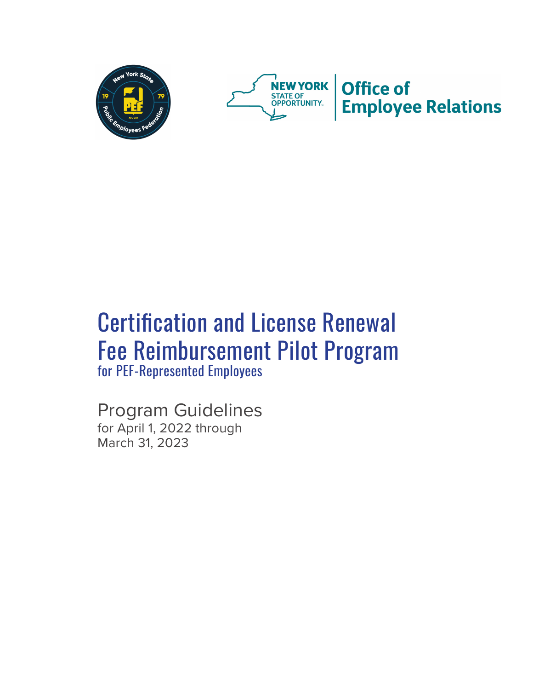



# Certification and License Renewal Fee Reimbursement Pilot Program for PEF-Represented Employees

Program Guidelines for April 1, 2022 through March 31, 2023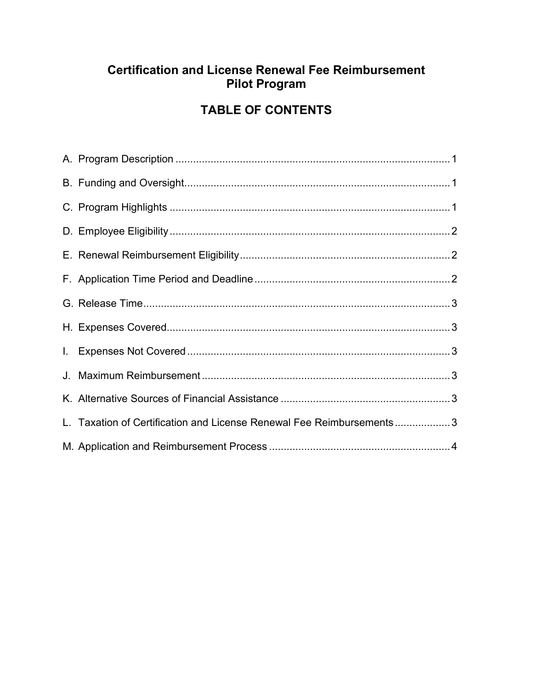## **Certification and License Renewal Fee Reimbursement Pilot Program**

# **TABLE OF CONTENTS**

| L. Taxation of Certification and License Renewal Fee Reimbursements3 |  |
|----------------------------------------------------------------------|--|
|                                                                      |  |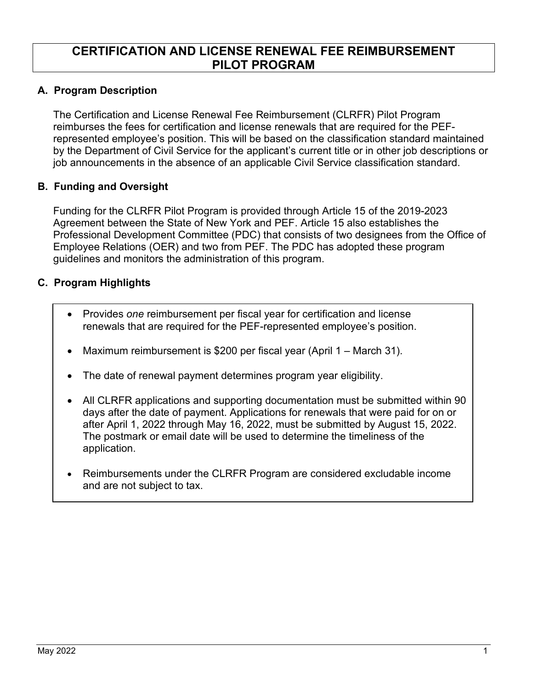### **CERTIFICATION AND LICENSE RENEWAL FEE REIMBURSEMENT PILOT PROGRAM**

#### **A. Program Description**

The Certification and License Renewal Fee Reimbursement (CLRFR) Pilot Program reimburses the fees for certification and license renewals that are required for the PEFrepresented employee's position. This will be based on the classification standard maintained by the Department of Civil Service for the applicant's current title or in other job descriptions or job announcements in the absence of an applicable Civil Service classification standard.

#### **B. Funding and Oversight**

Funding for the CLRFR Pilot Program is provided through Article 15 of the 2019-2023 Agreement between the State of New York and PEF. Article 15 also establishes the Professional Development Committee (PDC) that consists of two designees from the Office of Employee Relations (OER) and two from PEF. The PDC has adopted these program guidelines and monitors the administration of this program.

#### **C. Program Highlights**

- Provides *one* reimbursement per fiscal year for certification and license renewals that are required for the PEF-represented employee's position.
- Maximum reimbursement is \$200 per fiscal year (April 1 March 31).
- The date of renewal payment determines program year eligibility.
- All CLRFR applications and supporting documentation must be submitted within 90 days after the date of payment. Applications for renewals that were paid for on or after April 1, 2022 through May 16, 2022, must be submitted by August 15, 2022. The postmark or email date will be used to determine the timeliness of the application.
- Reimbursements under the CLRFR Program are considered excludable income and are not subject to tax.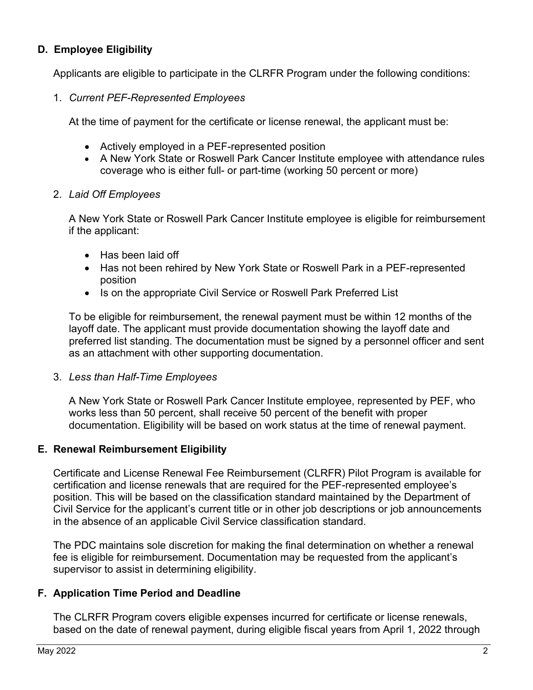#### **D. Employee Eligibility**

Applicants are eligible to participate in the CLRFR Program under the following conditions:

1. *Current PEF-Represented Employees*

At the time of payment for the certificate or license renewal, the applicant must be:

- Actively employed in a PEF-represented position
- A New York State or Roswell Park Cancer Institute employee with attendance rules coverage who is either full- or part-time (working 50 percent or more)
- 2. *Laid Off Employees*

A New York State or Roswell Park Cancer Institute employee is eligible for reimbursement if the applicant:

- Has been laid off
- Has not been rehired by New York State or Roswell Park in a PEF-represented position
- Is on the appropriate Civil Service or Roswell Park Preferred List

To be eligible for reimbursement, the renewal payment must be within 12 months of the layoff date. The applicant must provide documentation showing the layoff date and preferred list standing. The documentation must be signed by a personnel officer and sent as an attachment with other supporting documentation.

#### 3. *Less than Half-Time Employees*

A New York State or Roswell Park Cancer Institute employee, represented by PEF, who works less than 50 percent, shall receive 50 percent of the benefit with proper documentation. Eligibility will be based on work status at the time of renewal payment.

#### **E. Renewal Reimbursement Eligibility**

Certificate and License Renewal Fee Reimbursement (CLRFR) Pilot Program is available for certification and license renewals that are required for the PEF-represented employee's position. This will be based on the classification standard maintained by the Department of Civil Service for the applicant's current title or in other job descriptions or job announcements in the absence of an applicable Civil Service classification standard.

The PDC maintains sole discretion for making the final determination on whether a renewal fee is eligible for reimbursement. Documentation may be requested from the applicant's supervisor to assist in determining eligibility.

#### **F. Application Time Period and Deadline**

The CLRFR Program covers eligible expenses incurred for certificate or license renewals, based on the date of renewal payment, during eligible fiscal years from April 1, 2022 through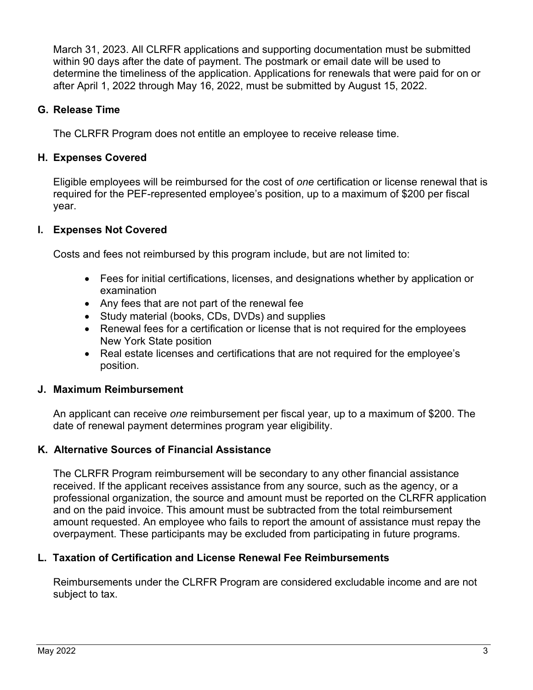March 31, 2023. All CLRFR applications and supporting documentation must be submitted within 90 days after the date of payment. The postmark or email date will be used to determine the timeliness of the application. Applications for renewals that were paid for on or after April 1, 2022 through May 16, 2022, must be submitted by August 15, 2022.

#### **G. Release Time**

The CLRFR Program does not entitle an employee to receive release time.

#### **H. Expenses Covered**

Eligible employees will be reimbursed for the cost of *one* certification or license renewal that is required for the PEF-represented employee's position, up to a maximum of \$200 per fiscal year.

#### **I. Expenses Not Covered**

Costs and fees not reimbursed by this program include, but are not limited to:

- Fees for initial certifications, licenses, and designations whether by application or examination
- Any fees that are not part of the renewal fee
- Study material (books, CDs, DVDs) and supplies
- Renewal fees for a certification or license that is not required for the employees New York State position
- Real estate licenses and certifications that are not required for the employee's position.

#### **J. Maximum Reimbursement**

An applicant can receive *one* reimbursement per fiscal year, up to a maximum of \$200. The date of renewal payment determines program year eligibility.

#### **K. Alternative Sources of Financial Assistance**

The CLRFR Program reimbursement will be secondary to any other financial assistance received. If the applicant receives assistance from any source, such as the agency, or a professional organization, the source and amount must be reported on the CLRFR application and on the paid invoice. This amount must be subtracted from the total reimbursement amount requested. An employee who fails to report the amount of assistance must repay the overpayment. These participants may be excluded from participating in future programs.

#### **L. Taxation of Certification and License Renewal Fee Reimbursements**

Reimbursements under the CLRFR Program are considered excludable income and are not subject to tax.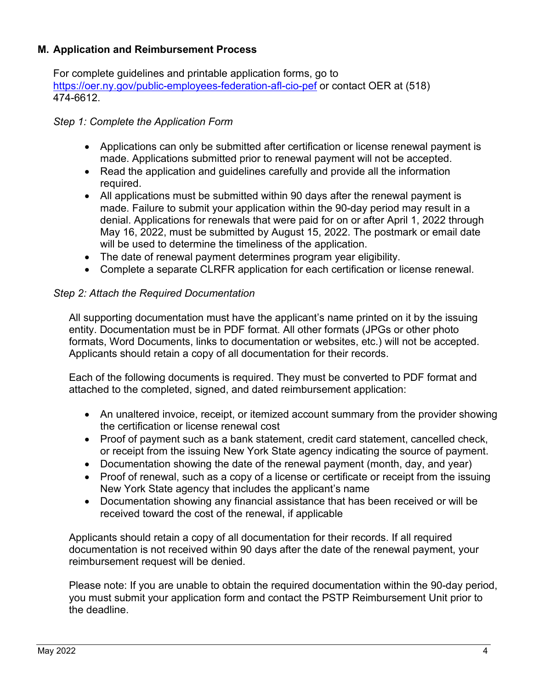#### **M. Application and Reimbursement Process**

For complete guidelines and printable application forms, go to https://oer.ny.gov/public-employees-federation-afl-cio-pef or contact OER at (518) 474-6612.

#### *Step 1: Complete the Application Form*

- Applications can only be submitted after certification or license renewal payment is made. Applications submitted prior to renewal payment will not be accepted.
- Read the application and guidelines carefully and provide all the information required.
- All applications must be submitted within 90 days after the renewal payment is made. Failure to submit your application within the 90-day period may result in a denial. Applications for renewals that were paid for on or after April 1, 2022 through May 16, 2022, must be submitted by August 15, 2022. The postmark or email date will be used to determine the timeliness of the application.
- The date of renewal payment determines program year eligibility.
- Complete a separate CLRFR application for each certification or license renewal.

#### *Step 2: Attach the Required Documentation*

All supporting documentation must have the applicant's name printed on it by the issuing entity. Documentation must be in PDF format. All other formats (JPGs or other photo formats, Word Documents, links to documentation or websites, etc.) will not be accepted. Applicants should retain a copy of all documentation for their records.

Each of the following documents is required. They must be converted to PDF format and attached to the completed, signed, and dated reimbursement application:

- An unaltered invoice, receipt, or itemized account summary from the provider showing the certification or license renewal cost
- Proof of payment such as a bank statement, credit card statement, cancelled check, or receipt from the issuing New York State agency indicating the source of payment.
- Documentation showing the date of the renewal payment (month, day, and year)
- Proof of renewal, such as a copy of a license or certificate or receipt from the issuing New York State agency that includes the applicant's name
- Documentation showing any financial assistance that has been received or will be received toward the cost of the renewal, if applicable

Applicants should retain a copy of all documentation for their records. If all required documentation is not received within 90 days after the date of the renewal payment, your reimbursement request will be denied.

Please note: If you are unable to obtain the required documentation within the 90-day period, you must submit your application form and contact the PSTP Reimbursement Unit prior to the deadline.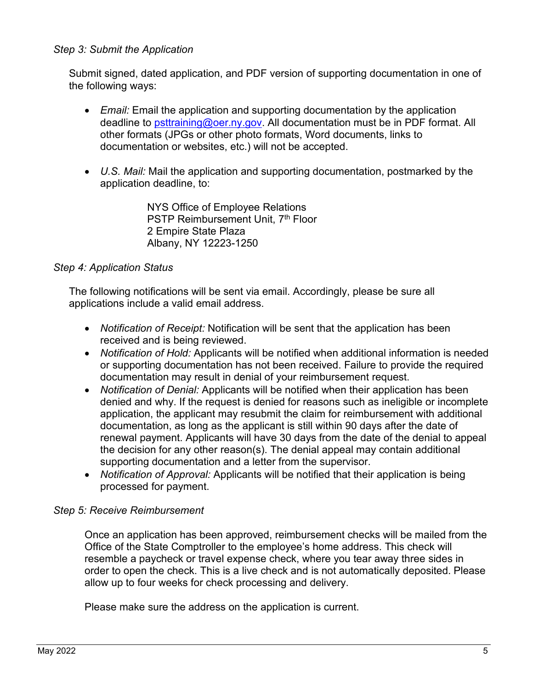#### *Step 3: Submit the Application*

Submit signed, dated application, and PDF version of supporting documentation in one of the following ways:

- *Email:* Email the application and supporting documentation by the application deadline to [psttraining@oer.ny.gov.](mailto:psttraining@oer.ny.gov) All documentation must be in PDF format. All other formats (JPGs or other photo formats, Word documents, links to documentation or websites, etc.) will not be accepted.
- *U.S. Mail:* Mail the application and supporting documentation, postmarked by the application deadline, to:

NYS Office of Employee Relations PSTP Reimbursement Unit, 7<sup>th</sup> Floor 2 Empire State Plaza Albany, NY 12223-1250

#### *Step 4: Application Status*

The following notifications will be sent via email. Accordingly, please be sure all applications include a valid email address.

- *Notification of Receipt:* Notification will be sent that the application has been received and is being reviewed.
- *Notification of Hold:* Applicants will be notified when additional information is needed or supporting documentation has not been received. Failure to provide the required documentation may result in denial of your reimbursement request.
- *Notification of Denial:* Applicants will be notified when their application has been denied and why. If the request is denied for reasons such as ineligible or incomplete application, the applicant may resubmit the claim for reimbursement with additional documentation, as long as the applicant is still within 90 days after the date of renewal payment. Applicants will have 30 days from the date of the denial to appeal the decision for any other reason(s). The denial appeal may contain additional supporting documentation and a letter from the supervisor.
- *Notification of Approval:* Applicants will be notified that their application is being processed for payment.

#### *Step 5: Receive Reimbursement*

Once an application has been approved, reimbursement checks will be mailed from the Office of the State Comptroller to the employee's home address. This check will resemble a paycheck or travel expense check, where you tear away three sides in order to open the check. This is a live check and is not automatically deposited. Please allow up to four weeks for check processing and delivery.

Please make sure the address on the application is current.